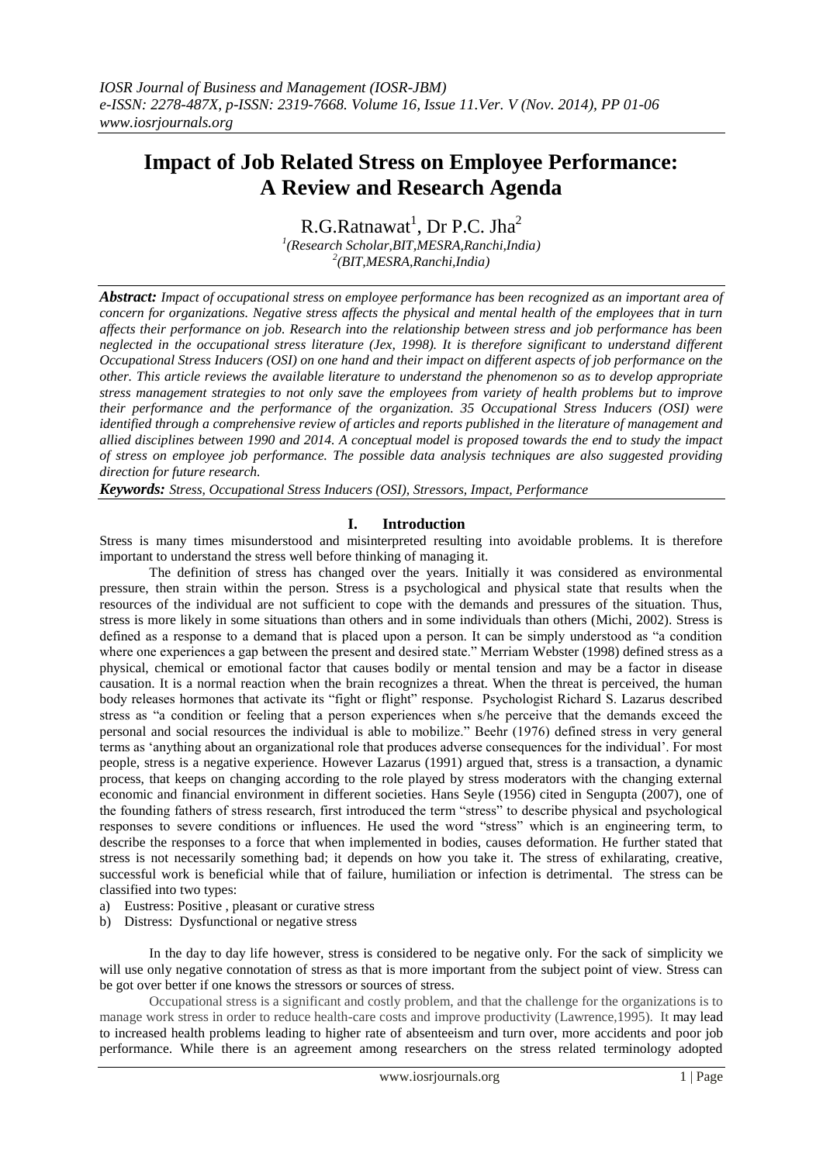# **Impact of Job Related Stress on Employee Performance: A Review and Research Agenda**

R.G.Ratnawat $^1$ , Dr P.C. Jha $^2$ *1 (Research Scholar,BIT,MESRA,Ranchi,India) 2 (BIT,MESRA,Ranchi,India)*

*Abstract: Impact of occupational stress on employee performance has been recognized as an important area of concern for organizations. Negative stress affects the physical and mental health of the employees that in turn affects their performance on job. Research into the relationship between stress and job performance has been neglected in the occupational stress literature (Jex, 1998). It is therefore significant to understand different Occupational Stress Inducers (OSI) on one hand and their impact on different aspects of job performance on the other. This article reviews the available literature to understand the phenomenon so as to develop appropriate stress management strategies to not only save the employees from variety of health problems but to improve their performance and the performance of the organization. 35 Occupational Stress Inducers (OSI) were identified through a comprehensive review of articles and reports published in the literature of management and allied disciplines between 1990 and 2014. A conceptual model is proposed towards the end to study the impact of stress on employee job performance. The possible data analysis techniques are also suggested providing direction for future research.*

*Keywords: Stress, Occupational Stress Inducers (OSI), Stressors, Impact, Performance*

# **I. Introduction**

Stress is many times misunderstood and misinterpreted resulting into avoidable problems. It is therefore important to understand the stress well before thinking of managing it.

The definition of stress has changed over the years. Initially it was considered as environmental pressure, then strain within the person. Stress is a psychological and physical state that results when the resources of the individual are not sufficient to cope with the demands and pressures of the situation. Thus, stress is more likely in some situations than others and in some individuals than others (Michi, 2002). Stress is defined as a response to a demand that is placed upon a person. It can be simply understood as "a condition where one experiences a gap between the present and desired state." Merriam Webster (1998) defined stress as a physical, chemical or emotional factor that causes bodily or mental tension and may be a factor in disease causation. It is a normal reaction when the brain recognizes a threat. When the threat is perceived, the human body releases hormones that activate its "fight or flight" response. Psychologist Richard S. Lazarus described stress as "a condition or feeling that a person experiences when s/he perceive that the demands exceed the personal and social resources the individual is able to mobilize." Beehr (1976) defined stress in very general terms as "anything about an organizational role that produces adverse consequences for the individual". For most people, stress is a negative experience. However Lazarus (1991) argued that, stress is a transaction, a dynamic process, that keeps on changing according to the role played by stress moderators with the changing external economic and financial environment in different societies. Hans Seyle (1956) cited in Sengupta (2007), one of the founding fathers of stress research, first introduced the term "stress" to describe physical and psychological responses to severe conditions or influences. He used the word "stress" which is an engineering term, to describe the responses to a force that when implemented in bodies, causes deformation. He further stated that stress is not necessarily something bad; it depends on how you take it. The stress of exhilarating, creative, successful work is beneficial while that of failure, humiliation or infection is detrimental. The stress can be classified into two types:

- a) Eustress: Positive , pleasant or curative stress
- b) Distress: Dysfunctional or negative stress

In the day to day life however, stress is considered to be negative only. For the sack of simplicity we will use only negative connotation of stress as that is more important from the subject point of view. Stress can be got over better if one knows the stressors or sources of stress.

Occupational stress is a significant and costly problem, and that the challenge for the organizations is to manage work stress in order to reduce health-care costs and improve productivity (Lawrence,1995). It may lead to increased health problems leading to higher rate of absenteeism and turn over, more accidents and poor job performance. While there is an agreement among researchers on the stress related terminology adopted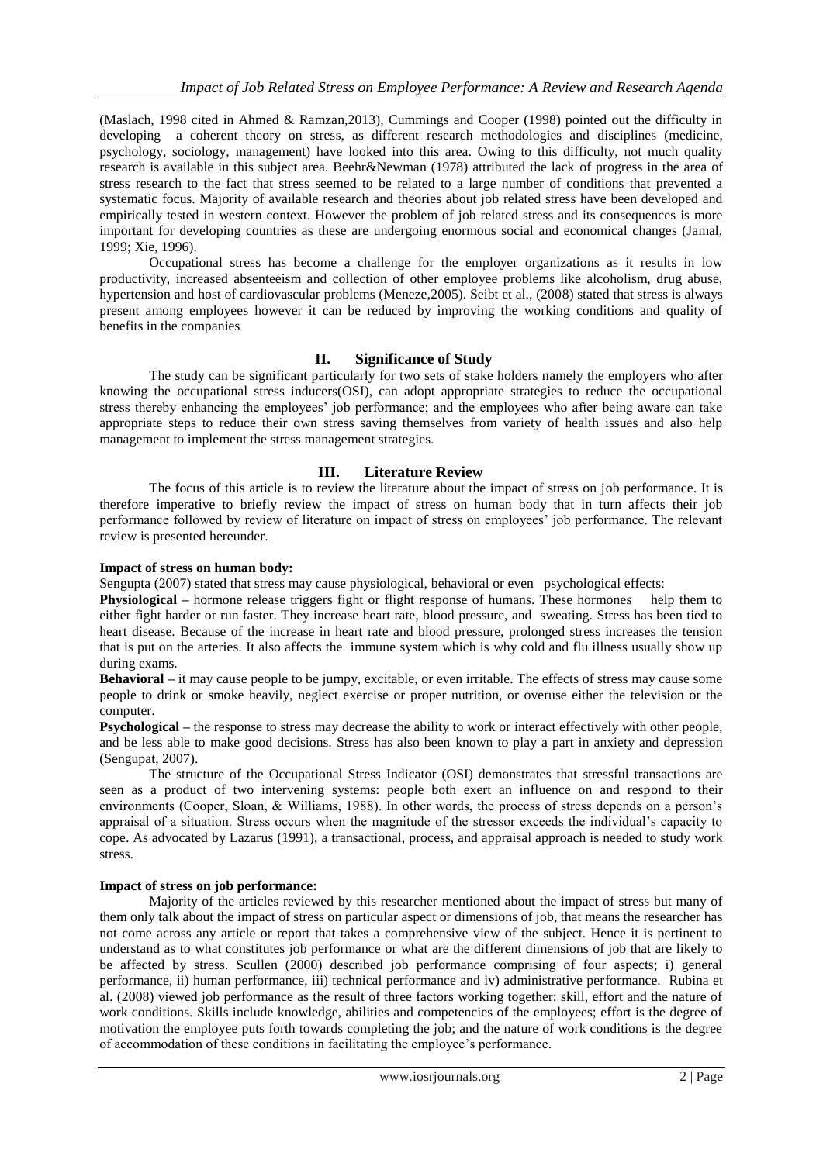(Maslach, 1998 cited in Ahmed & Ramzan,2013), Cummings and Cooper (1998) pointed out the difficulty in developing a coherent theory on stress, as different research methodologies and disciplines (medicine, psychology, sociology, management) have looked into this area. Owing to this difficulty, not much quality research is available in this subject area. Beehr&Newman (1978) attributed the lack of progress in the area of stress research to the fact that stress seemed to be related to a large number of conditions that prevented a systematic focus. Majority of available research and theories about job related stress have been developed and empirically tested in western context. However the problem of job related stress and its consequences is more important for developing countries as these are undergoing enormous social and economical changes (Jamal, 1999; Xie, 1996).

Occupational stress has become a challenge for the employer organizations as it results in low productivity, increased absenteeism and collection of other employee problems like alcoholism, drug abuse, hypertension and host of cardiovascular problems (Meneze,2005). Seibt et al., (2008) stated that stress is always present among employees however it can be reduced by improving the working conditions and quality of benefits in the companies

# **II. Significance of Study**

The study can be significant particularly for two sets of stake holders namely the employers who after knowing the occupational stress inducers(OSI), can adopt appropriate strategies to reduce the occupational stress thereby enhancing the employees" job performance; and the employees who after being aware can take appropriate steps to reduce their own stress saving themselves from variety of health issues and also help management to implement the stress management strategies.

### **III. Literature Review**

The focus of this article is to review the literature about the impact of stress on job performance. It is therefore imperative to briefly review the impact of stress on human body that in turn affects their job performance followed by review of literature on impact of stress on employees' job performance. The relevant review is presented hereunder.

#### **Impact of stress on human body:**

Sengupta (2007) stated that stress may cause physiological, behavioral or even psychological effects:

**Physiological –** hormone release triggers fight or flight response of humans. These hormones help them to either fight harder or run faster. They increase heart rate, blood pressure, and sweating. Stress has been tied to heart disease. Because of the increase in heart rate and blood pressure, prolonged stress increases the tension that is put on the arteries. It also affects the immune system which is why cold and flu illness usually show up during exams.

**Behavioral –** it may cause people to be jumpy, excitable, or even irritable. The effects of stress may cause some people to drink or smoke heavily, neglect exercise or proper nutrition, or overuse either the television or the computer.

**Psychological –** the response to stress may decrease the ability to work or interact effectively with other people, and be less able to make good decisions. Stress has also been known to play a part in anxiety and depression (Sengupat, 2007).

The structure of the Occupational Stress Indicator (OSI) demonstrates that stressful transactions are seen as a product of two intervening systems: people both exert an influence on and respond to their environments (Cooper, Sloan, & Williams, 1988). In other words, the process of stress depends on a person"s appraisal of a situation. Stress occurs when the magnitude of the stressor exceeds the individual"s capacity to cope. As advocated by Lazarus (1991), a transactional, process, and appraisal approach is needed to study work stress.

#### **Impact of stress on job performance:**

Majority of the articles reviewed by this researcher mentioned about the impact of stress but many of them only talk about the impact of stress on particular aspect or dimensions of job, that means the researcher has not come across any article or report that takes a comprehensive view of the subject. Hence it is pertinent to understand as to what constitutes job performance or what are the different dimensions of job that are likely to be affected by stress. Scullen (2000) described job performance comprising of four aspects; i) general performance, ii) human performance, iii) technical performance and iv) administrative performance. Rubina et al. (2008) viewed job performance as the result of three factors working together: skill, effort and the nature of work conditions. Skills include knowledge, abilities and competencies of the employees; effort is the degree of motivation the employee puts forth towards completing the job; and the nature of work conditions is the degree of accommodation of these conditions in facilitating the employee"s performance.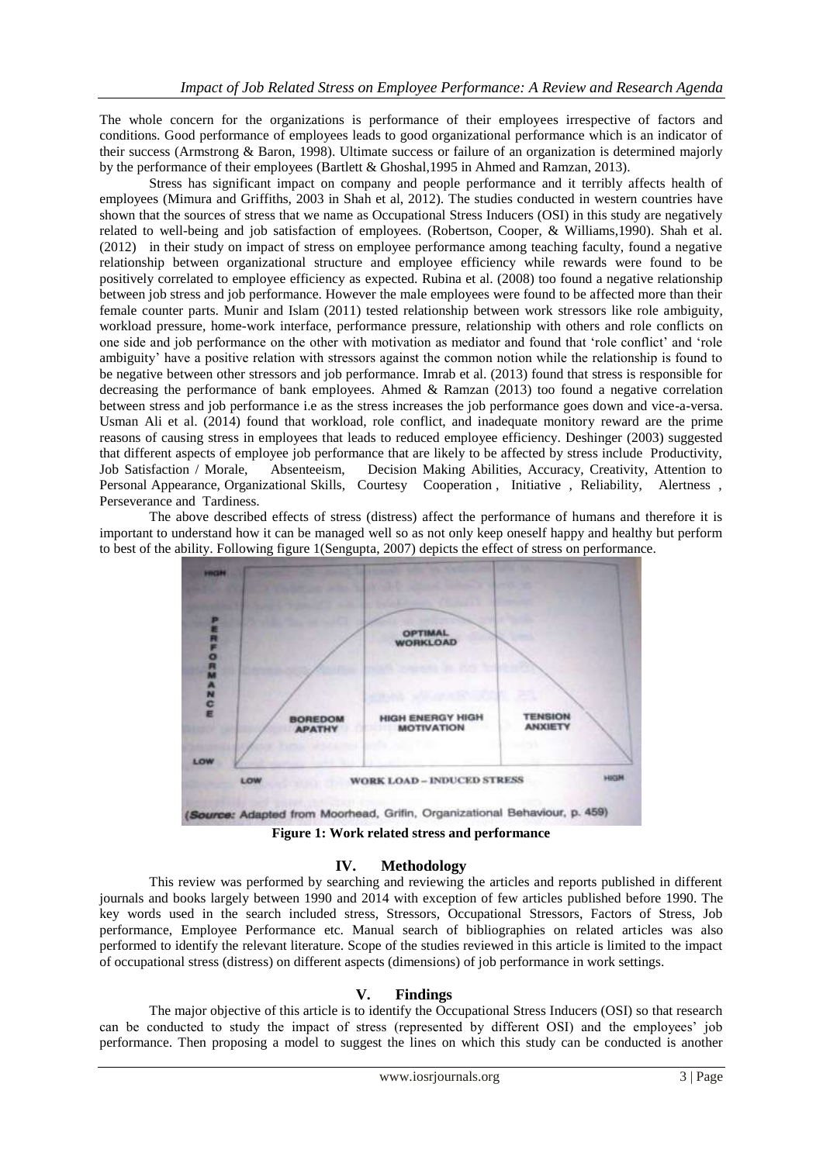The whole concern for the organizations is performance of their employees irrespective of factors and conditions. Good performance of employees leads to good organizational performance which is an indicator of their success (Armstrong & Baron, 1998). Ultimate success or failure of an organization is determined majorly by the performance of their employees (Bartlett & Ghoshal,1995 in Ahmed and Ramzan, 2013).

Stress has significant impact on company and people performance and it terribly affects health of employees (Mimura and Griffiths, 2003 in Shah et al, 2012). The studies conducted in western countries have shown that the sources of stress that we name as Occupational Stress Inducers (OSI) in this study are negatively related to well-being and job satisfaction of employees. (Robertson, Cooper, & Williams,1990). Shah et al. (2012) in their study on impact of stress on employee performance among teaching faculty, found a negative relationship between organizational structure and employee efficiency while rewards were found to be positively correlated to employee efficiency as expected. Rubina et al. (2008) too found a negative relationship between job stress and job performance. However the male employees were found to be affected more than their female counter parts. Munir and Islam (2011) tested relationship between work stressors like role ambiguity, workload pressure, home-work interface, performance pressure, relationship with others and role conflicts on one side and job performance on the other with motivation as mediator and found that "role conflict" and "role ambiguity" have a positive relation with stressors against the common notion while the relationship is found to be negative between other stressors and job performance. Imrab et al. (2013) found that stress is responsible for decreasing the performance of bank employees. Ahmed & Ramzan (2013) too found a negative correlation between stress and job performance i.e as the stress increases the job performance goes down and vice-a-versa. Usman Ali et al. (2014) found that workload, role conflict, and inadequate monitory reward are the prime reasons of causing stress in employees that leads to reduced employee efficiency. Deshinger (2003) suggested that different aspects of employee job performance that are likely to be affected by stress include Productivity, Job Satisfaction / Morale, Absenteeism, Decision Making Abilities, Accuracy, Creativity, Attention to Personal Appearance, Organizational Skills, Courtesy Cooperation , Initiative , Reliability, Alertness , Perseverance and Tardiness.

The above described effects of stress (distress) affect the performance of humans and therefore it is important to understand how it can be managed well so as not only keep oneself happy and healthy but perform to best of the ability. Following figure 1(Sengupta, 2007) depicts the effect of stress on performance.



**Figure 1: Work related stress and performance**

# **IV. Methodology**

This review was performed by searching and reviewing the articles and reports published in different journals and books largely between 1990 and 2014 with exception of few articles published before 1990. The key words used in the search included stress, Stressors, Occupational Stressors, Factors of Stress, Job performance, Employee Performance etc. Manual search of bibliographies on related articles was also performed to identify the relevant literature. Scope of the studies reviewed in this article is limited to the impact of occupational stress (distress) on different aspects (dimensions) of job performance in work settings.

# **V. Findings**

The major objective of this article is to identify the Occupational Stress Inducers (OSI) so that research can be conducted to study the impact of stress (represented by different OSI) and the employees" job performance. Then proposing a model to suggest the lines on which this study can be conducted is another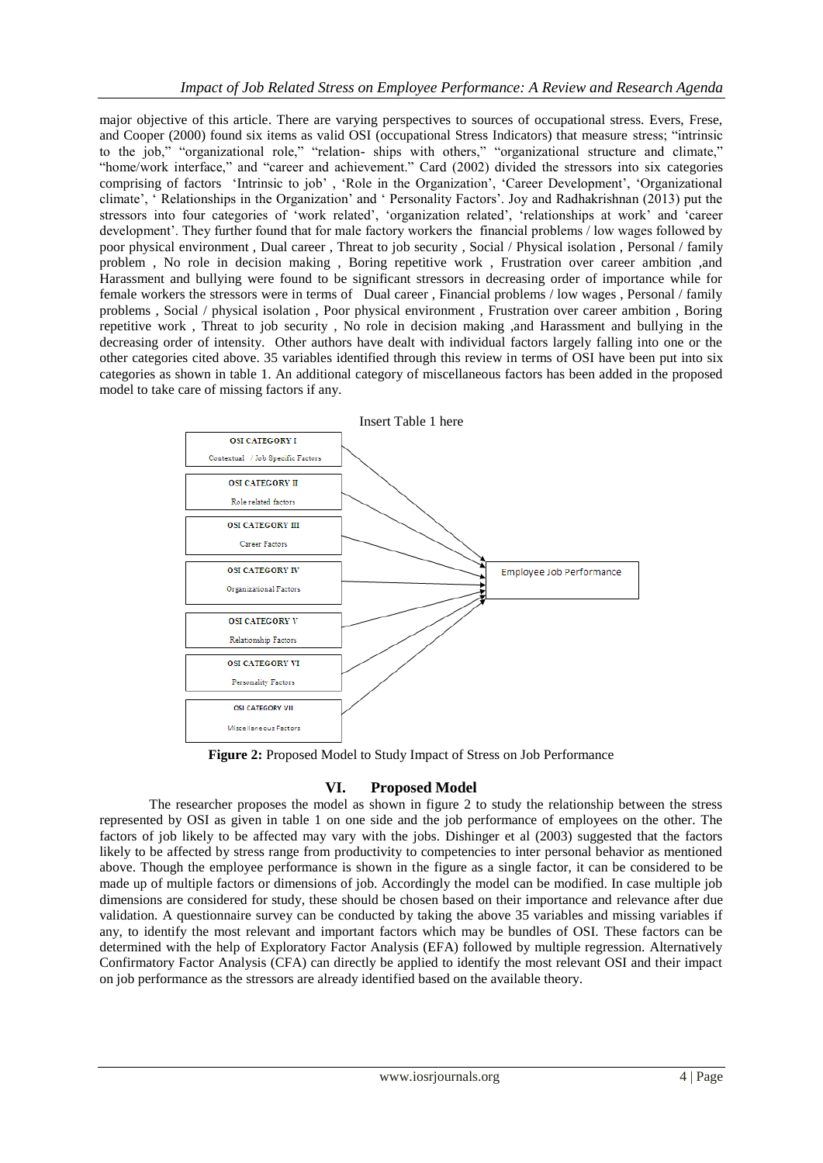major objective of this article. There are varying perspectives to sources of occupational stress. Evers, Frese, and Cooper (2000) found six items as valid OSI (occupational Stress Indicators) that measure stress; "intrinsic to the job," "organizational role," "relation- ships with others," "organizational structure and climate," "home/work interface," and "career and achievement." Card (2002) divided the stressors into six categories comprising of factors 'Intrinsic to job', 'Role in the Organization', 'Career Development', 'Organizational climate", " Relationships in the Organization" and " Personality Factors". Joy and Radhakrishnan (2013) put the stressors into four categories of "work related", "organization related", "relationships at work" and "career development". They further found that for male factory workers the financial problems / low wages followed by poor physical environment , Dual career , Threat to job security , Social / Physical isolation , Personal / family problem , No role in decision making , Boring repetitive work , Frustration over career ambition ,and Harassment and bullying were found to be significant stressors in decreasing order of importance while for female workers the stressors were in terms of Dual career , Financial problems / low wages , Personal / family problems , Social / physical isolation , Poor physical environment , Frustration over career ambition , Boring repetitive work , Threat to job security , No role in decision making ,and Harassment and bullying in the decreasing order of intensity. Other authors have dealt with individual factors largely falling into one or the other categories cited above. 35 variables identified through this review in terms of OSI have been put into six categories as shown in table 1. An additional category of miscellaneous factors has been added in the proposed model to take care of missing factors if any.



**Figure 2:** Proposed Model to Study Impact of Stress on Job Performance

# **VI. Proposed Model**

The researcher proposes the model as shown in figure 2 to study the relationship between the stress represented by OSI as given in table 1 on one side and the job performance of employees on the other. The factors of job likely to be affected may vary with the jobs. Dishinger et al (2003) suggested that the factors likely to be affected by stress range from productivity to competencies to inter personal behavior as mentioned above. Though the employee performance is shown in the figure as a single factor, it can be considered to be made up of multiple factors or dimensions of job. Accordingly the model can be modified. In case multiple job dimensions are considered for study, these should be chosen based on their importance and relevance after due validation. A questionnaire survey can be conducted by taking the above 35 variables and missing variables if any, to identify the most relevant and important factors which may be bundles of OSI. These factors can be determined with the help of Exploratory Factor Analysis (EFA) followed by multiple regression. Alternatively Confirmatory Factor Analysis (CFA) can directly be applied to identify the most relevant OSI and their impact on job performance as the stressors are already identified based on the available theory.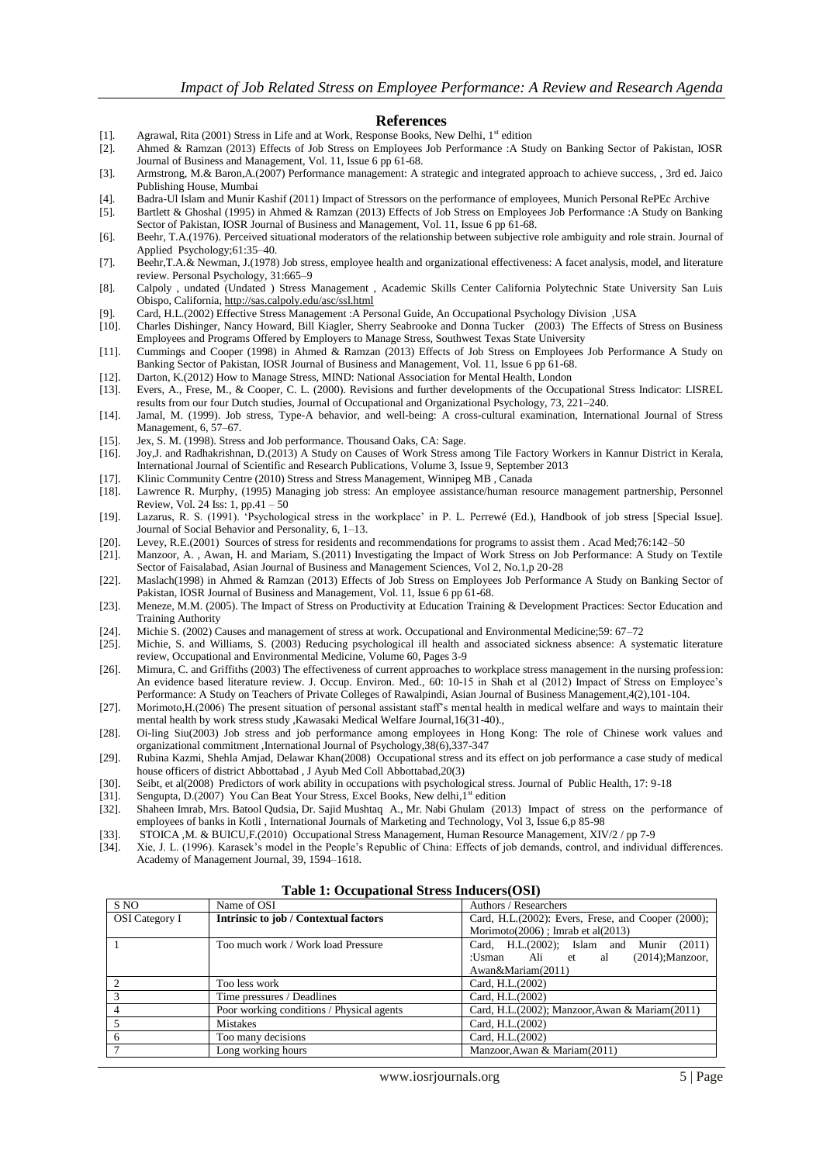#### **References**

- [1]. Agrawal, Rita (2001) Stress in Life and at Work, Response Books, New Delhi,  $1<sup>st</sup>$  edition
- [2]. Ahmed & Ramzan (2013) Effects of Job Stress on Employees Job Performance :A Study on Banking Sector of Pakistan, IOSR Journal of Business and Management, Vol. 11, Issue 6 pp 61-68.
- [3]. Armstrong, M.& Baron,A.(2007) Performance management: A strategic and integrated approach to achieve success, , 3rd ed. Jaico Publishing House, Mumbai
- [4]. Badra-Ul Islam and Munir Kashif (2011) Impact of Stressors on the performance of employees, Munich Personal RePEc Archive [5]. Bartlett & Ghoshal (1995) in Ahmed & Ramzan (2013) Effects of Job Stress on Employees Job
- [5]. Bartlett & Ghoshal (1995) in Ahmed & Ramzan (2013) Effects of Job Stress on Employees Job Performance :A Study on Banking Sector of Pakistan, IOSR Journal of Business and Management, Vol. 11, Issue 6 pp 61-68.
- [6]. Beehr, T.A.(1976). Perceived situational moderators of the relationship between subjective role ambiguity and role strain. Journal of Applied Psychology;61:35–40.
- [7]. Beehr,T.A.& Newman, J.(1978) Job stress, employee health and organizational effectiveness: A facet analysis, model, and literature review. Personal Psychology, 31:665–9
- [8]. Calpoly , undated (Undated ) Stress Management , Academic Skills Center California Polytechnic State University San Luis Obispo, California, <http://sas.calpoly.edu/asc/ssl.html>
- 
- [9]. Card, H.L.(2002) Effective Stress Management :A Personal Guide, An Occupational Psychology Division ,USA [10]. Charles Dishinger, Nancy Howard, Bill Kiagler, Sherry Seabrooke and Donna Tucker (2003) The Effects of Stress on Business Employees and Programs Offered by Employers to Manage Stress, Southwest Texas State University
- [11]. Cummings and Cooper (1998) in Ahmed & Ramzan (2013) Effects of Job Stress on Employees Job Performance A Study on Banking Sector of Pakistan, IOSR Journal of Business and Management, Vol. 11, Issue 6 pp 61-68.
- [12]. Darton, K.(2012) How to Manage Stress, MIND: National Association for Mental Health, London
- [13]. Evers, A., Frese, M., & Cooper, C. L. (2000). Revisions and further developments of the Occupational Stress Indicator: LISREL results from our four Dutch studies, Journal of Occupational and Organizational Psychology, 73, 221–240.
- [14]. Jamal, M. (1999). Job stress, Type-A behavior, and well-being: A cross-cultural examination, International Journal of Stress Management, 6, 57–67.
- [15]. Jex, S. M. (1998). Stress and Job performance. Thousand Oaks, CA: Sage. [16]. Joy, J. and Radhakrishnan, D. (2013) A Study on Causes of Work Stress and
- [16]. Joy,J. and Radhakrishnan, D.(2013) A Study on Causes of Work Stress among Tile Factory Workers in Kannur District in Kerala, International Journal of Scientific and Research Publications, Volume 3, Issue 9, September 2013
- [17]. Klinic Community Centre (2010) Stress and Stress Management, Winnipeg MB , Canada
- [18]. [Lawrence R. Murphy,](http://www.emeraldinsight.com/action/doSearch?ContribStored=Murphy%2C+L+R) (1995) Managing job stress: An employee assistance/human resource management partnership, Personnel Review, Vol. 24 Iss: 1, pp.41 – 50
- [19]. Lazarus, R. S. (1991). "Psychological stress in the workplace" in P. L. Perrewé (Ed.), Handbook of job stress [Special Issue]. Journal of Social Behavior and Personality, 6, 1–13.
- [20]. Levey, R.E.(2001) Sources of stress for residents and recommendations for programs to assist them . Acad Med;76:142–50
- [21]. Manzoor, A. , Awan, H. and Mariam, S.(2011) Investigating the Impact of Work Stress on Job Performance: A Study on Textile Sector of Faisalabad, Asian Journal of Business and Management Sciences, Vol 2, No.1,p 20-28
- [22]. Maslach(1998) in Ahmed & Ramzan (2013) Effects of Job Stress on Employees Job Performance A Study on Banking Sector of Pakistan, IOSR Journal of Business and Management, Vol. 11, Issue 6 pp 61-68.
- [23]. Meneze, M.M. (2005). The Impact of Stress on Productivity at Education Training & Development Practices: Sector Education and Training Authority
- 
- [24]. Michie S. (2002) Causes and management of stress at work. Occupational and Environmental Medicine;59: 67–72<br>[25]. Michie, S. and Williams, S. (2003) Reducing psychological ill health and associated sickness absence: Michie, S. and Williams, S. (2003) Reducing psychological ill health and associated sickness absence: A systematic literature review, Occupational and Environmental Medicine, Volume 60, Pages 3-9
- [26]. Mimura, C. and Griffiths (2003) The effectiveness of current approaches to workplace stress management in the nursing profession: An evidence based literature review. J. Occup. Environ. Med., 60: 10-15 in Shah et al (2012) Impact of Stress on Employee"s Performance: A Study on Teachers of Private Colleges of Rawalpindi, Asian Journal of Business Management,4(2),101-104.
- [27]. Morimoto,H.(2006) The present situation of personal assistant staff"s mental health in medical welfare and ways to maintain their mental health by work stress study ,Kawasaki Medical Welfare Journal,16(31-40).,
- [28]. Oi-ling Siu(2003) Job stress and job performance among employees in Hong Kong: The role of Chinese work values and organizational commitment ,International Journal of Psychology,38(6),337-347
- [29]. Rubina Kazmi, Shehla Amjad, Delawar Khan(2008) Occupational stress and its effect on job performance a case study of medical house officers of district Abbottabad , J Ayub Med Coll Abbottabad,20(3)
- [30]. Seibt, et al(2008) Predictors of work ability in occupations with psychological stress. Journal of Public Health, 17: 9-18
- [31]. Sengupta, D.(2007) You Can Beat Your Stress, Excel Books, New delhi, 1st edition
- [32]. Shaheen Imrab, Mrs. Batool Qudsia, Dr. Sajid Mushtaq A., Mr. Nabi Ghulam (2013) Impact of stress on the performance of employees of banks in Kotli , International Journals of Marketing and Technology, Vol 3, Issue 6,p 85-98
- [33]. STOICA ,M. & BUICU,F.(2010) Occupational Stress Management, Human Resource Management, XIV/2 / pp 7-9
- [34]. Xie, J. L. (1996). Karasek's model in the People's Republic of China: Effects of job demands, control, and individual differences. Academy of Management Journal, 39, 1594–1618.

| S NO                  | Name of OSI                               | Authors / Researchers                                     |  |  |
|-----------------------|-------------------------------------------|-----------------------------------------------------------|--|--|
| <b>OSI</b> Category I | Intrinsic to job / Contextual factors     | Card, H.L. $(2002)$ : Evers, Frese, and Cooper $(2000)$ ; |  |  |
|                       |                                           | Morimoto $(2006)$ ; Imrab et al $(2013)$                  |  |  |
|                       | Too much work / Work load Pressure        | Card, H.L. (2002); Islam and Munir<br>(2011)              |  |  |
|                       |                                           | $(2014)$ ; Manzoor,<br>:Usman Ali et<br>al                |  |  |
|                       |                                           | Awan&Mariam(2011)                                         |  |  |
|                       | Too less work                             | Card, H.L. (2002)                                         |  |  |
|                       | Time pressures / Deadlines                | Card, H.L.(2002)                                          |  |  |
|                       | Poor working conditions / Physical agents | Card, H.L. (2002); Manzoor, Awan & Mariam (2011)          |  |  |
|                       | Mistakes                                  | Card, H.L.(2002)                                          |  |  |
| 6                     | Too many decisions                        | Card, H.L. (2002)                                         |  |  |
|                       | Long working hours                        | Manzoor, Awan & Mariam(2011)                              |  |  |

**Table 1: Occupational Stress Inducers(OSI)**